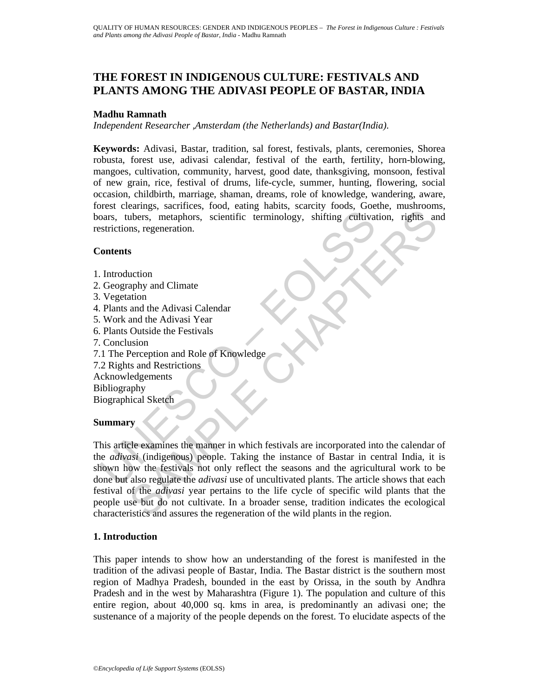# **THE FOREST IN INDIGENOUS CULTURE: FESTIVALS AND PLANTS AMONG THE ADIVASI PEOPLE OF BASTAR, INDIA**

#### **Madhu Ramnath**

*Independent Researcher ,Amsterdam (the Netherlands) and Bastar(India).* 

**Keywords:** Adivasi, Bastar, tradition, sal forest, festivals, plants, ceremonies, Shorea robusta, forest use, adivasi calendar, festival of the earth, fertility, horn-blowing, mangoes, cultivation, community, harvest, good date, thanksgiving, monsoon, festival of new grain, rice, festival of drums, life-cycle, summer, hunting, flowering, social occasion, childbirth, marriage, shaman, dreams, role of knowledge, wandering, aware, forest clearings, sacrifices, food, eating habits, scarcity foods, Goethe, mushrooms, boars, tubers, metaphors, scientific terminology, shifting cultivation, rights and restrictions, regeneration.

#### **Contents**

- 1. Introduction
- 2. Geography and Climate
- 3. Vegetation
- 4. Plants and the Adivasi Calendar
- 5. Work and the Adivasi Year
- 6. Plants Outside the Festivals
- 7. Conclusion
- 7.1 The Perception and Role of Knowledge
- 7.2 Rights and Restrictions Acknowledgements

Bibliography Biographical Sketch

## **Summary**

France Conclusion<br>
Soars, tubers, metaphors, scientific terminology, shifting cultivary<br>
strictions, regeneration.<br>
Understand the Adivasi Calendar<br>
Understand the Adivasi Calendar<br>
Understand the Adivasi Year<br>
Plants Outs Example, such the example and the diplomation of the wild plants in the region<br>subjects, metaphors, scientific terminology, shifting eutlivation, rights and<br>ns, regeneration.<br>s<br>s<br>such and the Adivasi Calendar<br>and the Adiva This article examines the manner in which festivals are incorporated into the calendar of the *adivasi* (indigenous) people. Taking the instance of Bastar in central India, it is shown how the festivals not only reflect the seasons and the agricultural work to be done but also regulate the *adivasi* use of uncultivated plants. The article shows that each festival of the *adivasi* year pertains to the life cycle of specific wild plants that the people use but do not cultivate. In a broader sense, tradition indicates the ecological characteristics and assures the regeneration of the wild plants in the region.

## **1. Introduction**

This paper intends to show how an understanding of the forest is manifested in the tradition of the adivasi people of Bastar, India. The Bastar district is the southern most region of Madhya Pradesh, bounded in the east by Orissa, in the south by Andhra Pradesh and in the west by Maharashtra (Figure 1). The population and culture of this entire region, about 40,000 sq. kms in area, is predominantly an adivasi one; the sustenance of a majority of the people depends on the forest. To elucidate aspects of the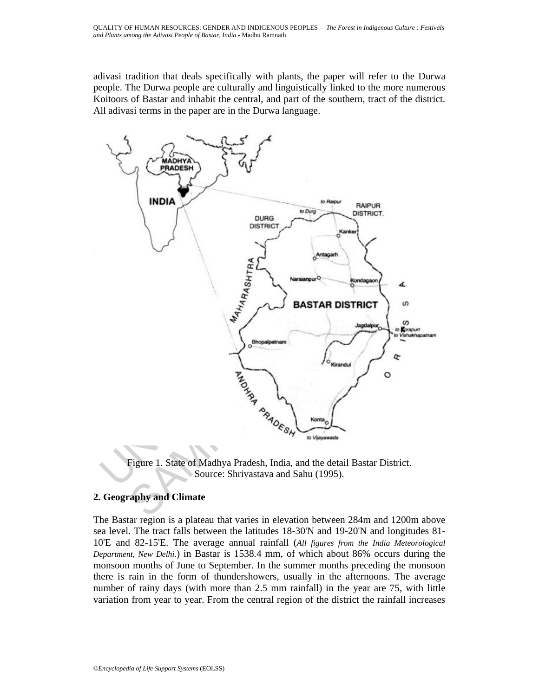adivasi tradition that deals specifically with plants, the paper will refer to the Durwa people. The Durwa people are culturally and linguistically linked to the more numerous Koitoors of Bastar and inhabit the central, and part of the southern, tract of the district. All adivasi terms in the paper are in the Durwa language.



Figure 1. State of Madhya Pradesh, India, and the detail Bastar District. Source: Shrivastava and Sahu (1995).

## **2. Geography and Climate**

The Bastar region is a plateau that varies in elevation between 284m and 1200m above sea level. The tract falls between the latitudes 18-30'N and 19-20'N and longitudes 81- 10'E and 82-15'E. The average annual rainfall (*All figures from the India Meteorological Department, New Delhi.*) in Bastar is 1538.4 mm, of which about 86% occurs during the monsoon months of June to September. In the summer months preceding the monsoon there is rain in the form of thundershowers, usually in the afternoons. The average number of rainy days (with more than 2.5 mm rainfall) in the year are 75, with little variation from year to year. From the central region of the district the rainfall increases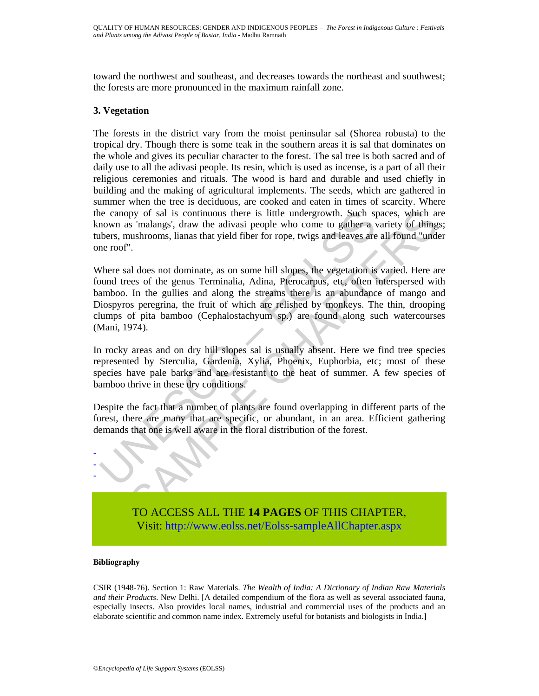toward the northwest and southeast, and decreases towards the northeast and southwest; the forests are more pronounced in the maximum rainfall zone.

#### **3. Vegetation**

The forests in the district vary from the moist peninsular sal (Shorea robusta) to the tropical dry. Though there is some teak in the southern areas it is sal that dominates on the whole and gives its peculiar character to the forest. The sal tree is both sacred and of daily use to all the adivasi people. Its resin, which is used as incense, is a part of all their religious ceremonies and rituals. The wood is hard and durable and used chiefly in building and the making of agricultural implements. The seeds, which are gathered in summer when the tree is deciduous, are cooked and eaten in times of scarcity. Where the canopy of sal is continuous there is little undergrowth. Such spaces, which are known as 'malangs', draw the adivasi people who come to gather a variety of things; tubers, mushrooms, lianas that yield fiber for rope, twigs and leaves are all found "under one roof".

is continuous there is little undergrowth. Such synown as 'malangs', draw the adivasi people who come to gather a vehence, mushrooms, lianas that yield fiber for rope, twigs and leaves are roof".<br>
Nere sal does not dominat py of sal is continuous there is little undergrowth. Such spaces, which as 'malangs', draw the adivasi people who come to gather a variety of thing s' malangs', draw the adivasi people who come to gather a variety of thing Where sal does not dominate, as on some hill slopes, the vegetation is varied. Here are found trees of the genus Terminalia, Adina, Pterocarpus, etc, often interspersed with bamboo. In the gullies and along the streams there is an abundance of mango and Diospyros peregrina, the fruit of which are relished by monkeys. The thin, drooping clumps of pita bamboo (Cephalostachyum sp.) are found along such watercourses (Mani, 1974).

In rocky areas and on dry hill slopes sal is usually absent. Here we find tree species represented by Sterculia, Gardenia, Xylia, Phoenix, Euphorbia, etc; most of these species have pale barks and are resistant to the heat of summer. A few species of bamboo thrive in these dry conditions.

Despite the fact that a number of plants are found overlapping in different parts of the forest, there are many that are specific, or abundant, in an area. Efficient gathering demands that one is well aware in the floral distribution of the forest.



TO ACCESS ALL THE **14 PAGES** OF THIS CHAPTER, Visit: [http://www.eolss.net/Eolss-sampleAllChapter.aspx](https://www.eolss.net/ebooklib/sc_cart.aspx?File=E1-17-01-02)

#### **Bibliography**

CSIR (1948-76). Section 1: Raw Materials. *The Wealth of India: A Dictionary of Indian Raw Materials and their Products*. New Delhi. [A detailed compendium of the flora as well as several associated fauna, especially insects. Also provides local names, industrial and commercial uses of the products and an elaborate scientific and common name index. Extremely useful for botanists and biologists in India.]